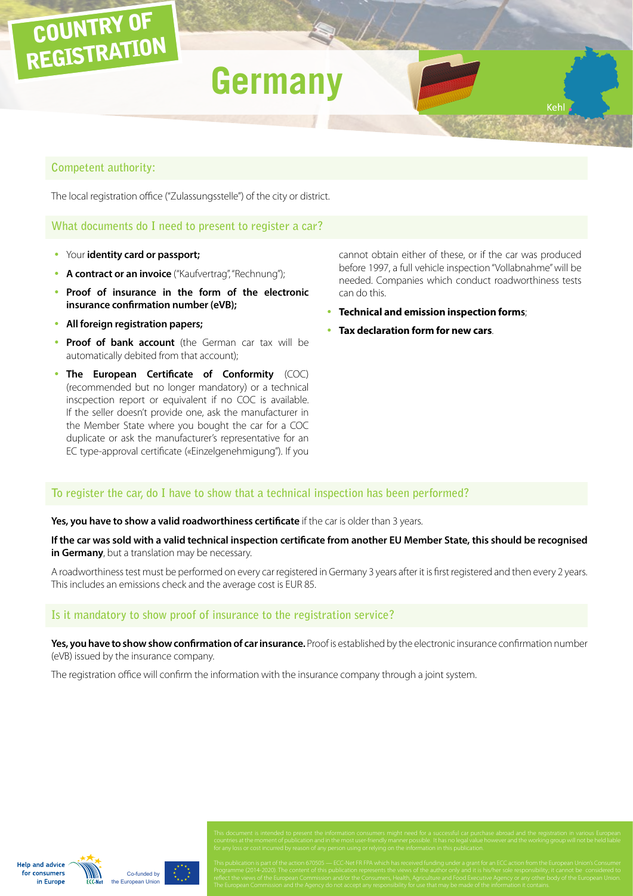# **Germany**

## **Competent authority:**

COUNTRY OF

REGISTRATION

The local registration office ("Zulassungsstelle") of the city or district.

**What documents do I need to present to register a car?**

- **Your identity card or passport;**
- A contract or an invoice ("Kaufvertrag", "Rechnung");
- **Proof of insurance in the form of the electronic insurance confirmation number (eVB);**
- y **All foreign registration papers;**
- **Proof of bank account** (the German car tax will be automatically debited from that account);
- **The European Certificate of Conformity** (COC) (recommended but no longer mandatory) or a technical inscpection report or equivalent if no COC is available. If the seller doesn't provide one, ask the manufacturer in the Member State where you bought the car for a COC duplicate or ask the manufacturer's representative for an EC type-approval certificate («Einzelgenehmigung"). If you

cannot obtain either of these, or if the car was produced before 1997, a full vehicle inspection "Vollabnahme" will be needed. Companies which conduct roadworthiness tests can do this.

- y **Technical and emission inspection forms**;
- **Tax declaration form for new cars.**

#### **To register the car, do I have to show that a technical inspection has been performed?**

#### **Yes, you have to show a valid roadworthiness certificate** if the car is older than 3 years.

**If the car was sold with a valid technical inspection certificate from another EU Member State, this should be recognised in Germany**, but a translation may be necessary.

A roadworthiness test must be performed on every car registered in Germany 3 years after it is first registered and then every 2 years. This includes an emissions check and the average cost is EUR 85.

## **Is it mandatory to show proof of insurance to the registration service?**

**Yes, you have to show show confirmation of car insurance.** Proof is established by the electronic insurance confirmation number (eVB) issued by the insurance company.

The registration office will confirm the information with the insurance company through a joint system.